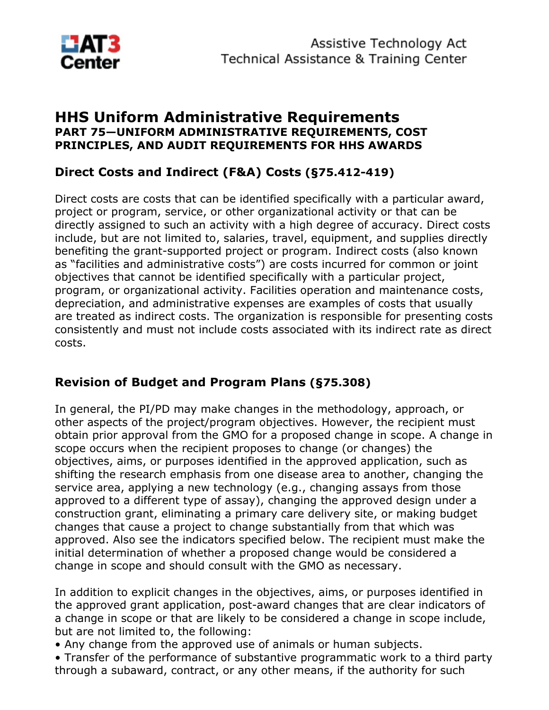

#### **[HHS Uniform Administrative Requirements](https://www.ecfr.gov/cgi-bin/text-idx?SID=0bd19918c70624ee196022330ee85493&mc=true&node=pt45.1.75&rgn=div5) PART 75—UNIFORM ADMINISTRATIVE REQUIREMENTS, COST PRINCIPLES, AND AUDIT REQUIREMENTS FOR HHS AWARDS**

#### **[Direct Costs and Indirect \(F&A\) Costs](http://www.ecfr.gov/cgi-bin/text-idx?SID=507cfac1519b49a7eb9e0d6fb98dac74&mc=true&node=pt45.1.75&rgn=div5#sg45.1.75_1411.sg12) (§75.412-419)**

Direct costs are costs that can be identified specifically with a particular award, project or program, service, or other organizational activity or that can be directly assigned to such an activity with a high degree of accuracy. Direct costs include, but are not limited to, salaries, travel, equipment, and supplies directly benefiting the grant-supported project or program. Indirect costs (also known as "facilities and administrative costs") are costs incurred for common or joint objectives that cannot be identified specifically with a particular project, program, or organizational activity. Facilities operation and maintenance costs, depreciation, and administrative expenses are examples of costs that usually are treated as indirect costs. The organization is responsible for presenting costs consistently and must not include costs associated with its indirect rate as direct costs.

#### **[Revision of Budget and Program Plans](http://www.ecfr.gov/cgi-bin/text-idx?SID=507cfac1519b49a7eb9e0d6fb98dac74&mc=true&node=pt45.1.75&rgn=div5#se45.1.75_1308) (§75.308)**

In general, the PI/PD may make changes in the methodology, approach, or other aspects of the project/program objectives. However, the recipient must obtain prior approval from the GMO for a proposed change in scope. A change in scope occurs when the recipient proposes to change (or changes) the objectives, aims, or purposes identified in the approved application, such as shifting the research emphasis from one disease area to another, changing the service area, applying a new technology (e.g., changing assays from those approved to a different type of assay), changing the approved design under a construction grant, eliminating a primary care delivery site, or making budget changes that cause a project to change substantially from that which was approved. Also see the indicators specified below. The recipient must make the initial determination of whether a proposed change would be considered a change in scope and should consult with the GMO as necessary.

In addition to explicit changes in the objectives, aims, or purposes identified in the approved grant application, post-award changes that are clear indicators of a change in scope or that are likely to be considered a change in scope include, but are not limited to, the following:

• Any change from the approved use of animals or human subjects.

• Transfer of the performance of substantive programmatic work to a third party through a subaward, contract, or any other means, if the authority for such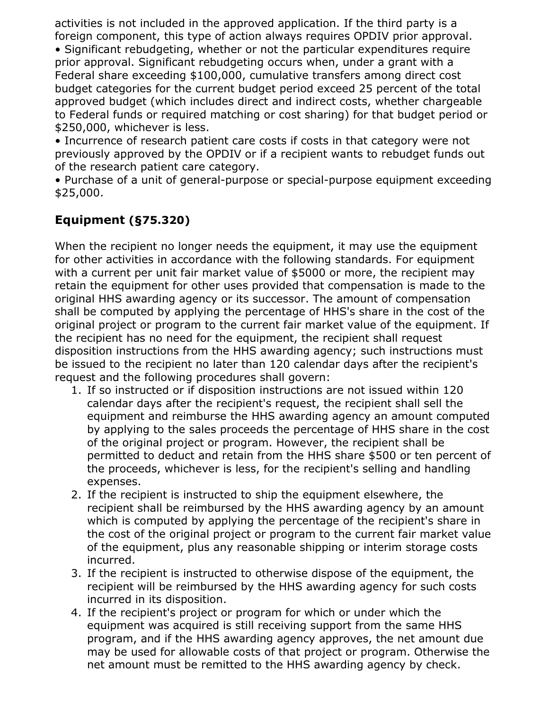activities is not included in the approved application. If the third party is a foreign component, this type of action always requires OPDIV prior approval.

• Significant rebudgeting, whether or not the particular expenditures require prior approval. Significant rebudgeting occurs when, under a grant with a Federal share exceeding \$100,000, cumulative transfers among direct cost budget categories for the current budget period exceed 25 percent of the total approved budget (which includes direct and indirect costs, whether chargeable to Federal funds or required matching or cost sharing) for that budget period or \$250,000, whichever is less.

• Incurrence of research patient care costs if costs in that category were not previously approved by the OPDIV or if a recipient wants to rebudget funds out of the research patient care category.

• Purchase of a unit of general-purpose or special-purpose equipment exceeding \$25,000.

# **[Equipment](http://www.ecfr.gov/cgi-bin/text-idx?SID=507cfac1519b49a7eb9e0d6fb98dac74&mc=true&node=pt45.1.75&rgn=div5#se45.1.75_1320) (§75.320)**

When the recipient no longer needs the equipment, it may use the equipment for other activities in accordance with the following standards. For equipment with a current per unit fair market value of \$5000 or more, the recipient may retain the equipment for other uses provided that compensation is made to the original HHS awarding agency or its successor. The amount of compensation shall be computed by applying the percentage of HHS's share in the cost of the original project or program to the current fair market value of the equipment. If the recipient has no need for the equipment, the recipient shall request disposition instructions from the HHS awarding agency; such instructions must be issued to the recipient no later than 120 calendar days after the recipient's request and the following procedures shall govern:

- 1. If so instructed or if disposition instructions are not issued within 120 calendar days after the recipient's request, the recipient shall sell the equipment and reimburse the HHS awarding agency an amount computed by applying to the sales proceeds the percentage of HHS share in the cost of the original project or program. However, the recipient shall be permitted to deduct and retain from the HHS share \$500 or ten percent of the proceeds, whichever is less, for the recipient's selling and handling expenses.
- 2. If the recipient is instructed to ship the equipment elsewhere, the recipient shall be reimbursed by the HHS awarding agency by an amount which is computed by applying the percentage of the recipient's share in the cost of the original project or program to the current fair market value of the equipment, plus any reasonable shipping or interim storage costs incurred.
- 3. If the recipient is instructed to otherwise dispose of the equipment, the recipient will be reimbursed by the HHS awarding agency for such costs incurred in its disposition.
- 4. If the recipient's project or program for which or under which the equipment was acquired is still receiving support from the same HHS program, and if the HHS awarding agency approves, the net amount due may be used for allowable costs of that project or program. Otherwise the net amount must be remitted to the HHS awarding agency by check.